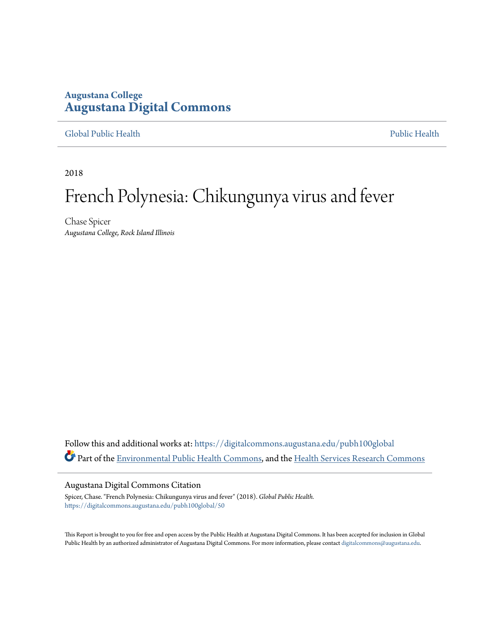## **Augustana College [Augustana Digital Commons](https://digitalcommons.augustana.edu?utm_source=digitalcommons.augustana.edu%2Fpubh100global%2F50&utm_medium=PDF&utm_campaign=PDFCoverPages)**

[Global Public Health](https://digitalcommons.augustana.edu/pubh100global?utm_source=digitalcommons.augustana.edu%2Fpubh100global%2F50&utm_medium=PDF&utm_campaign=PDFCoverPages) [Public Health](https://digitalcommons.augustana.edu/publichealth?utm_source=digitalcommons.augustana.edu%2Fpubh100global%2F50&utm_medium=PDF&utm_campaign=PDFCoverPages)

2018

# French Polynesia: Chikungunya virus and fever

Chase Spicer *Augustana College, Rock Island Illinois*

Follow this and additional works at: [https://digitalcommons.augustana.edu/pubh100global](https://digitalcommons.augustana.edu/pubh100global?utm_source=digitalcommons.augustana.edu%2Fpubh100global%2F50&utm_medium=PDF&utm_campaign=PDFCoverPages) Part of the [Environmental Public Health Commons](http://network.bepress.com/hgg/discipline/739?utm_source=digitalcommons.augustana.edu%2Fpubh100global%2F50&utm_medium=PDF&utm_campaign=PDFCoverPages), and the [Health Services Research Commons](http://network.bepress.com/hgg/discipline/816?utm_source=digitalcommons.augustana.edu%2Fpubh100global%2F50&utm_medium=PDF&utm_campaign=PDFCoverPages)

#### Augustana Digital Commons Citation

Spicer, Chase. "French Polynesia: Chikungunya virus and fever" (2018). *Global Public Health.* [https://digitalcommons.augustana.edu/pubh100global/50](https://digitalcommons.augustana.edu/pubh100global/50?utm_source=digitalcommons.augustana.edu%2Fpubh100global%2F50&utm_medium=PDF&utm_campaign=PDFCoverPages)

This Report is brought to you for free and open access by the Public Health at Augustana Digital Commons. It has been accepted for inclusion in Global Public Health by an authorized administrator of Augustana Digital Commons. For more information, please contact [digitalcommons@augustana.edu.](mailto:digitalcommons@augustana.edu)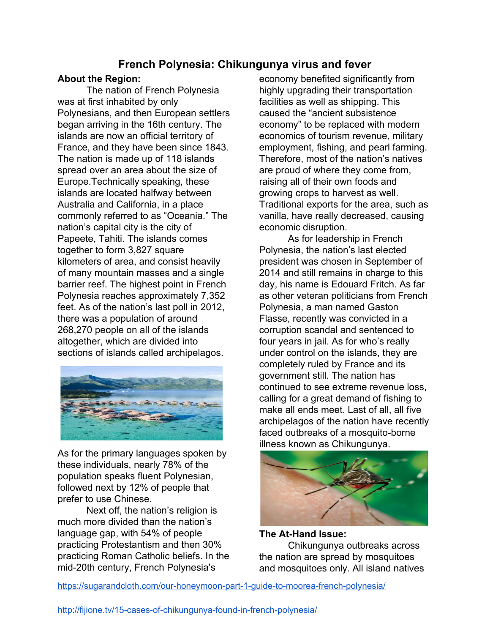# **French Polynesia: Chikungunya virus and fever**

### **About the Region:**

The nation of French Polynesia was at first inhabited by only Polynesians, and then European settlers began arriving in the 16th century. The islands are now an official territory of France, and they have been since 1843. The nation is made up of 118 islands spread over an area about the size of Europe.Technically speaking, these islands are located halfway between Australia and California, in a place commonly referred to as "Oceania." The nation's capital city is the city of Papeete, Tahiti. The islands comes together to form 3,827 square kilometers of area, and consist heavily of many mountain masses and a single barrier reef. The highest point in French Polynesia reaches approximately 7,352 feet. As of the nation's last poll in 2012, there was a population of around 268,270 people on all of the islands altogether, which are divided into sections of islands called archipelagos.



As for the primary languages spoken by these individuals, nearly 78% of the population speaks fluent Polynesian, followed next by 12% of people that prefer to use Chinese.

Next off, the nation's religion is much more divided than the nation's language gap, with 54% of people practicing Protestantism and then 30% practicing Roman Catholic beliefs. In the mid-20th century, French Polynesia's

economy benefited significantly from highly upgrading their transportation facilities as well as shipping. This caused the "ancient subsistence economy" to be replaced with modern economics of tourism revenue, military employment, fishing, and pearl farming. Therefore, most of the nation's natives are proud of where they come from, raising all of their own foods and growing crops to harvest as well. Traditional exports for the area, such as vanilla, have really decreased, causing economic disruption.

As for leadership in French Polynesia, the nation's last elected president was chosen in September of 2014 and still remains in charge to this day, his name is Edouard Fritch. As far as other veteran politicians from French Polynesia, a man named Gaston Flasse, recently was convicted in a corruption scandal and sentenced to four years in jail. As for who's really under control on the islands, they are completely ruled by France and its government still. The nation has continued to see extreme revenue loss, calling for a great demand of fishing to make all ends meet. Last of all, all five archipelagos of the nation have recently faced outbreaks of a mosquito-borne illness known as Chikungunya.



**The At-Hand Issue:** Chikungunya outbreaks across the nation are spread by mosquitoes and mosquitoes only. All island natives

<https://sugarandcloth.com/our-honeymoon-part-1-guide-to-moorea-french-polynesia/>